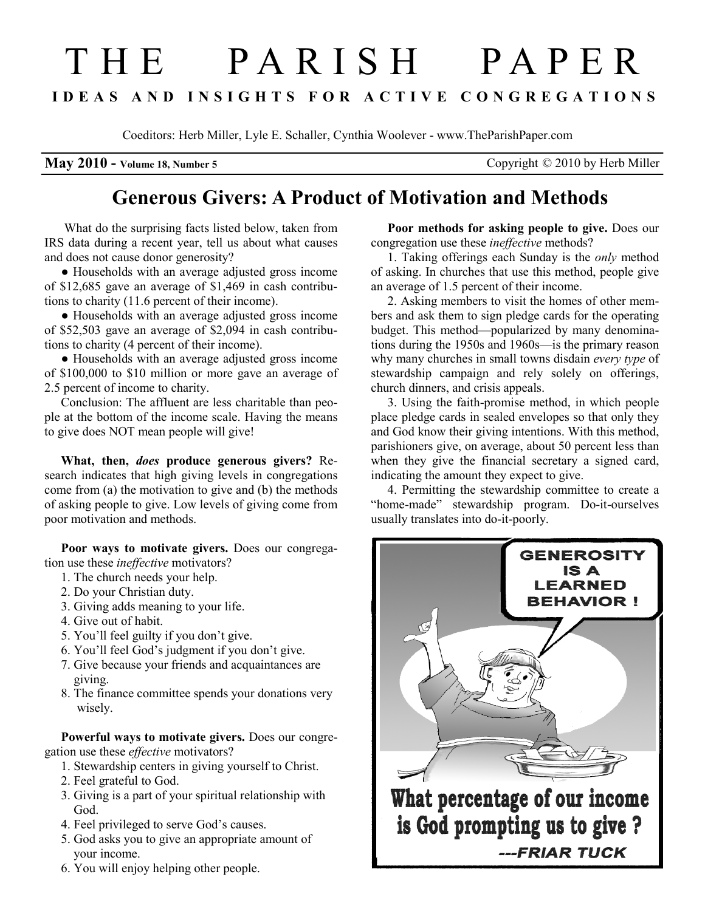## T H E P A R I S H P A P E R I D E A S A N D I N S I G H T S F O R A C T I V E C O N G R E G A T I O N S

Coeditors: Herb Miller, Lyle E. Schaller, Cynthia Woolever - www.TheParishPaper.com

**May 2010 - Volume 18, Number 5** Copyright  $\heartsuit$  2010 by Herb Miller

## Generous Givers: A Product of Motivation and Methods

 What do the surprising facts listed below, taken from IRS data during a recent year, tell us about what causes and does not cause donor generosity?

● Households with an average adjusted gross income of \$12,685 gave an average of \$1,469 in cash contributions to charity (11.6 percent of their income).

● Households with an average adjusted gross income of \$52,503 gave an average of \$2,094 in cash contributions to charity (4 percent of their income).

● Households with an average adjusted gross income of \$100,000 to \$10 million or more gave an average of 2.5 percent of income to charity.

Conclusion: The affluent are less charitable than people at the bottom of the income scale. Having the means to give does NOT mean people will give!

What, then, *does* produce generous givers? Research indicates that high giving levels in congregations come from (a) the motivation to give and (b) the methods of asking people to give. Low levels of giving come from poor motivation and methods.

Poor ways to motivate givers. Does our congregation use these ineffective motivators?

- 1. The church needs your help.
- 2. Do your Christian duty.
- 3. Giving adds meaning to your life.
- 4. Give out of habit.
- 5. You'll feel guilty if you don't give.
- 6. You'll feel God's judgment if you don't give.
- 7. Give because your friends and acquaintances are giving.
- 8. The finance committee spends your donations very wisely.

Powerful ways to motivate givers. Does our congregation use these effective motivators?

- 1. Stewardship centers in giving yourself to Christ.
- 2. Feel grateful to God.
- 3. Giving is a part of your spiritual relationship with God.
- 4. Feel privileged to serve God's causes.
- 5. God asks you to give an appropriate amount of your income.
- 6. You will enjoy helping other people.

Poor methods for asking people to give. Does our congregation use these ineffective methods?

1. Taking offerings each Sunday is the only method of asking. In churches that use this method, people give an average of 1.5 percent of their income.

2. Asking members to visit the homes of other members and ask them to sign pledge cards for the operating budget. This method—popularized by many denominations during the 1950s and 1960s—is the primary reason why many churches in small towns disdain every type of stewardship campaign and rely solely on offerings, church dinners, and crisis appeals.

3. Using the faith-promise method, in which people place pledge cards in sealed envelopes so that only they and God know their giving intentions. With this method, parishioners give, on average, about 50 percent less than when they give the financial secretary a signed card, indicating the amount they expect to give.

4. Permitting the stewardship committee to create a "home-made" stewardship program. Do-it-ourselves usually translates into do-it-poorly.